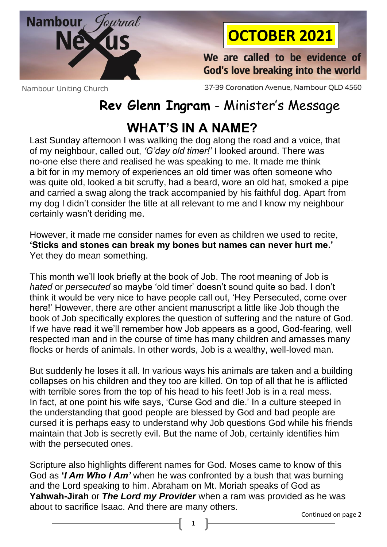

## **OCTOBER 2021**

We are called to be evidence of God's love breaking into the world

Nambour Uniting Church

37-39 Coronation Avenue, Nambour QLD 4560

## **Rev Glenn Ingram** - Minister's Message

## **WHAT'S IN A NAME?**

Last Sunday afternoon I was walking the dog along the road and a voice, that of my neighbour, called out, *'G'day old timer!'* I looked around. There was no-one else there and realised he was speaking to me. It made me think a bit for in my memory of experiences an old timer was often someone who was quite old, looked a bit scruffy, had a beard, wore an old hat, smoked a pipe and carried a swag along the track accompanied by his faithful dog. Apart from my dog I didn't consider the title at all relevant to me and I know my neighbour certainly wasn't deriding me.

However, it made me consider names for even as children we used to recite, **'Sticks and stones can break my bones but names can never hurt me.'** Yet they do mean something.

This month we'll look briefly at the book of Job. The root meaning of Job is *hated* or *persecuted* so maybe 'old timer' doesn't sound quite so bad. I don't think it would be very nice to have people call out, 'Hey Persecuted, come over here!' However, there are other ancient manuscript a little like Job though the book of Job specifically explores the question of suffering and the nature of God. If we have read it we'll remember how Job appears as a good, God-fearing, well respected man and in the course of time has many children and amasses many flocks or herds of animals. In other words, Job is a wealthy, well-loved man.

But suddenly he loses it all. In various ways his animals are taken and a building collapses on his children and they too are killed. On top of all that he is afflicted with terrible sores from the top of his head to his feet! Job is in a real mess. In fact, at one point his wife says, 'Curse God and die.' In a culture steeped in the understanding that good people are blessed by God and bad people are cursed it is perhaps easy to understand why Job questions God while his friends maintain that Job is secretly evil. But the name of Job, certainly identifies him with the persecuted ones.

Scripture also highlights different names for God. Moses came to know of this God as **'***I Am Who I Am'* when he was confronted by a bush that was burning and the Lord speaking to him. Abraham on Mt. Moriah speaks of God as **Yahwah-Jirah** or *The Lord my Provider* when a ram was provided as he was about to sacrifice Isaac. And there are many others.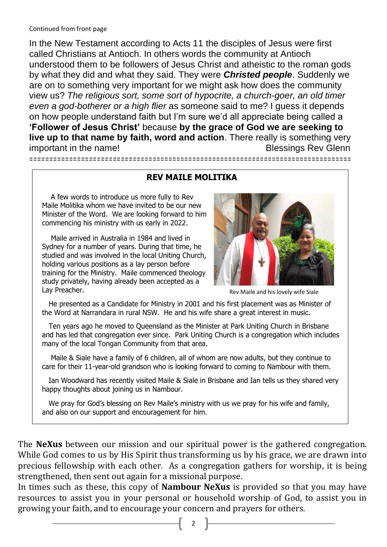#### Continued from front page

 $\Box$ 

In the New Testament according to Acts 11 the disciples of Jesus were first called Christians at Antioch. In others words the community at Antioch understood them to be followers of Jesus Christ and atheistic to the roman gods by what they did and what they said. They were *Christed people*. Suddenly we are on to something very important for we might ask how does the community view us? *The religious sort, some sort of hypocrite, a church-goer, an old timer even a god-botherer or a high flier* as someone said to me? I guess it depends on how people understand faith but I'm sure we'd all appreciate being called a **'Follower of Jesus Christ'** because **by the grace of God we are seeking to live up to that name by faith, word and action**. There really is something very important in the name! In the name!

#### **REV MAILE MOLITIKA**

=================================================================================

 A few words to introduce us more fully to Rev Maile Molitika whom we have invited to be our new Minister of the Word. We are looking forward to him commencing his ministry with us early in 2022.

 Maile arrived in Australia in 1984 and lived in Sydney for a number of years. During that time, he studied and was involved in the local Uniting Church, holding various positions as a lay person before training for the Ministry. Maile commenced theology study privately, having already been accepted as a Lay Preacher.



Rev Maile and his lovely wife Siale

 He presented as a Candidate for Ministry in 2001 and his first placement was as Minister of the Word at Narrandara in rural NSW. He and his wife share a great interest in music. Ξ

 Ten years ago he moved to Queensland as the Minister at Park Uniting Church in Brisbane and has led that congregation ever since. Park Uniting Church is a congregation which includes many of the local Tongan Community from that area.

 Maile & Siale have a family of 6 children, all of whom are now adults, but they continue to care for their 11-year-old grandson who is looking forward to coming to Nambour with them. Γ

 Ian Woodward has recently visited Maile & Siale in Brisbane and Ian tells us they shared very happy thoughts about joining us in Nambour.

We pray for God's blessing on Rev Maile's ministry with us we pray for his wife and family, and also on our support and encouragement for him.

The **NeXus** between our mission and our spiritual power is the gathered congregation. While God comes to us by His Spirit thus transforming us by his grace, we are drawn into precious fellowship with each other. As a congregation gathers for worship, it is being strengthened, then sent out again for a missional purpose.

In times such as these, this copy of **Nambour NeXus** is provided so that you may have resources to assist you in your personal or household worship of God, to assist you in growing your faith, and to encourage your concern and prayers for others.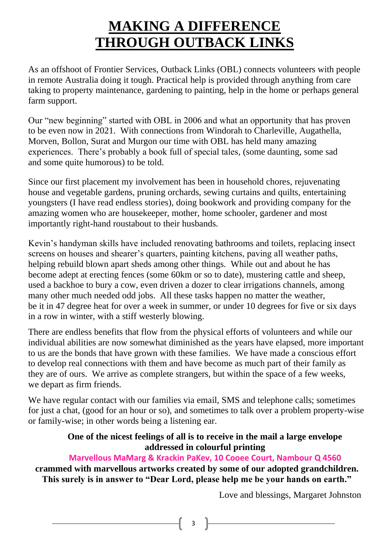## **MAKING A DIFFERENCE THROUGH OUTBACK LINKS**

As an offshoot of Frontier Services, Outback Links (OBL) connects volunteers with people in remote Australia doing it tough. Practical help is provided through anything from care taking to property maintenance, gardening to painting, help in the home or perhaps general farm support.

Our "new beginning" started with OBL in 2006 and what an opportunity that has proven to be even now in 2021. With connections from Windorah to Charleville, Augathella, Morven, Bollon, Surat and Murgon our time with OBL has held many amazing experiences. There's probably a book full of special tales, (some daunting, some sad and some quite humorous) to be told.

Since our first placement my involvement has been in household chores, rejuvenating house and vegetable gardens, pruning orchards, sewing curtains and quilts, entertaining youngsters (I have read endless stories), doing bookwork and providing company for the amazing women who are housekeeper, mother, home schooler, gardener and most importantly right-hand roustabout to their husbands.

Kevin's handyman skills have included renovating bathrooms and toilets, replacing insect screens on houses and shearer's quarters, painting kitchens, paving all weather paths, helping rebuild blown apart sheds among other things. While out and about he has become adept at erecting fences (some 60km or so to date), mustering cattle and sheep, used a backhoe to bury a cow, even driven a dozer to clear irrigations channels, among many other much needed odd jobs. All these tasks happen no matter the weather, be it in 47 degree heat for over a week in summer, or under 10 degrees for five or six days in a row in winter, with a stiff westerly blowing.

There are endless benefits that flow from the physical efforts of volunteers and while our individual abilities are now somewhat diminished as the years have elapsed, more important to us are the bonds that have grown with these families. We have made a conscious effort to develop real connections with them and have become as much part of their family as they are of ours. We arrive as complete strangers, but within the space of a few weeks, we depart as firm friends.

We have regular contact with our families via email, SMS and telephone calls; sometimes for just a chat, (good for an hour or so), and sometimes to talk over a problem property-wise or family-wise; in other words being a listening ear.

#### **One of the nicest feelings of all is to receive in the mail a large envelope addressed in colourful printing**

#### **Marvellous MaMarg & Krackin PaKev, 10 Cooee Court, Nambour Q 4560**

 **crammed with marvellous artworks created by some of our adopted grandchildren. This surely is in answer to "Dear Lord, please help me be your hands on earth."**

Love and blessings, Margaret Johnston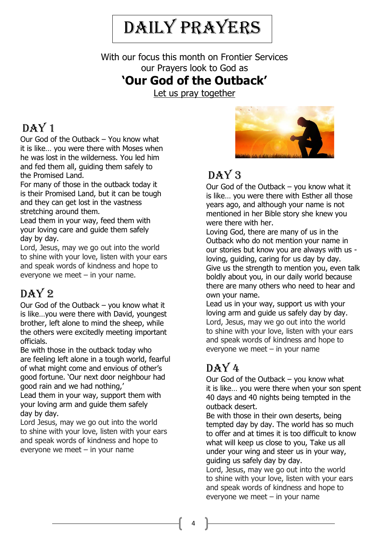# Daily Prayers

With our focus this month on Frontier Services our Prayers look to God as

#### **'Our God of the Outback'**

Let us pray together

#### DAY<sub>1</sub>

Our God of the Outback – You know what it is like… you were there with Moses when he was lost in the wilderness. You led him and fed them all, guiding them safely to the Promised Land.

For many of those in the outback today it is their Promised Land, but it can be tough and they can get lost in the vastness stretching around them.

Lead them in your way, feed them with your loving care and guide them safely day by day.

Lord, Jesus, may we go out into the world to shine with your love, listen with your ears and speak words of kindness and hope to everyone we meet – in your name.

#### $DAY2$

Our God of the Outback – you know what it is like…you were there with David, youngest brother, left alone to mind the sheep, while the others were excitedly meeting important officials.

Be with those in the outback today who are feeling left alone in a tough world, fearful of what might come and envious of other's good fortune. 'Our next door neighbour had good rain and we had nothing,'

Lead them in your way, support them with your loving arm and guide them safely day by day.

Lord Jesus, may we go out into the world to shine with your love, listen with your ears and speak words of kindness and hope to everyone we meet  $-$  in your name



## $DAY3$

Our God of the Outback – you know what it is like… you were there with Esther all those years ago, and although your name is not mentioned in her Bible story she knew you were there with her.

Loving God, there are many of us in the Outback who do not mention your name in our stories but know you are always with us loving, guiding, caring for us day by day. Give us the strength to mention you, even talk boldly about you, in our daily world because there are many others who need to hear and own your name.

Lead us in your way, support us with your loving arm and guide us safely day by day. Lord, Jesus, may we go out into the world to shine with your love, listen with your ears and speak words of kindness and hope to everyone we meet – in your name

## $DAY4$

Our God of the Outback – you know what it is like… you were there when your son spent 40 days and 40 nights being tempted in the outback desert.

Be with those in their own deserts, being tempted day by day. The world has so much to offer and at times it is too difficult to know what will keep us close to you, Take us all under your wing and steer us in your way, guiding us safely day by day.

Lord, Jesus, may we go out into the world to shine with your love, listen with your ears and speak words of kindness and hope to everyone we meet  $-$  in your name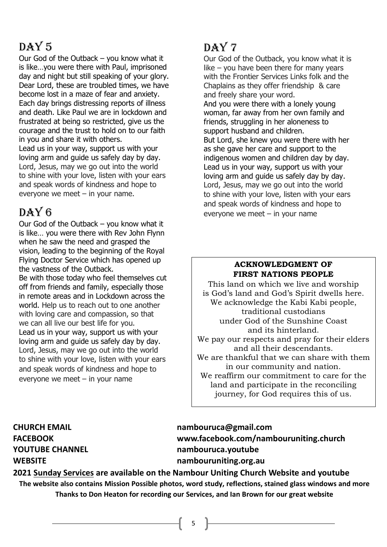## $DAY<sub>5</sub>$

Our God of the Outback – you know what it is like…you were there with Paul, imprisoned day and night but still speaking of your glory. Dear Lord, these are troubled times, we have become lost in a maze of fear and anxiety. Each day brings distressing reports of illness and death. Like Paul we are in lockdown and frustrated at being so restricted, give us the courage and the trust to hold on to our faith in you and share it with others. Lead us in your way, support us with your

loving arm and guide us safely day by day. Lord, Jesus, may we go out into the world to shine with your love, listen with your ears and speak words of kindness and hope to everyone we meet  $-$  in your name.

#### DAY 6

Our God of the Outback – you know what it is like… you were there with Rev John Flynn when he saw the need and grasped the vision, leading to the beginning of the Royal Flying Doctor Service which has opened up the vastness of the Outback.

Be with those today who feel themselves cut off from friends and family, especially those in remote areas and in Lockdown across the world. Help us to reach out to one another with loving care and compassion, so that we can all live our best life for you. Lead us in your way, support us with your loving arm and guide us safely day by day. Lord, Jesus, may we go out into the world to shine with your love, listen with your ears and speak words of kindness and hope to everyone we meet  $-$  in your name

### $DAY7$

Our God of the Outback, you know what it is like – you have been there for many years with the Frontier Services Links folk and the Chaplains as they offer friendship & care and freely share your word.

And you were there with a lonely young woman, far away from her own family and friends, struggling in her aloneness to support husband and children.

But Lord, she knew you were there with her as she gave her care and support to the indigenous women and children day by day. Lead us in your way, support us with your loving arm and guide us safely day by day. Lord, Jesus, may we go out into the world to shine with your love, listen with your ears and speak words of kindness and hope to everyone we meet – in your name

#### **ACKNOWLEDGMENT OF FIRST NATIONS PEOPLE**

This land on which we live and worship is God's land and God's Spirit dwells here. We acknowledge the Kabi Kabi people, traditional custodians under God of the Sunshine Coast and its hinterland. We pay our respects and pray for their elders and all their descendants. We are thankful that we can share with them in our community and nation. We reaffirm our commitment to care for the land and participate in the reconciling journey, for God requires this of us.

**CHURCH EMAIL [nambouruca@gmail.com](mailto:nambouruca@gmail.com) FACEBOOK [www.facebook.com/nambouruniting.church](http://www.facebook.com/nambouruniting.church) YOUTUBE CHANNEL nambouruca.youtube WEBSITE nambouruniting.org.au**

**2021 Sunday Services are available on the Nambour Uniting Church Website and youtube The website also contains Mission Possible photos, word study, reflections, stained glass windows and more Thanks to Don Heaton for recording our Services, and Ian Brown for our great website**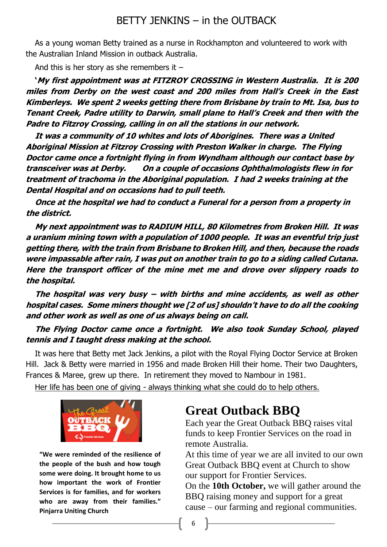#### BETTY JENKINS – in the OUTBACK

As a young woman Betty trained as a nurse in Rockhampton and volunteered to work with the Australian Inland Mission in outback Australia.

And this is her story as she remembers it  $-$ 

**'My first appointment was at FITZROY CROSSING in Western Australia. It is 200 miles from Derby on the west coast and 200 miles from Hall's Creek in the East Kimberleys. We spent 2 weeks getting there from Brisbane by train to Mt. Isa, bus to Tenant Creek, Padre utility to Darwin, small plane to Hall's Creek and then with the Padre to Fitzroy Crossing, calling in on all the stations in our network.**

**It was a community of 10 whites and lots of Aborigines. There was a United Aboriginal Mission at Fitzroy Crossing with Preston Walker in charge. The Flying Doctor came once a fortnight flying in from Wyndham although our contact base by transceiver was at Derby. On a couple of occasions Ophthalmologists flew in for treatment of trachoma in the Aboriginal population. I had 2 weeks training at the Dental Hospital and on occasions had to pull teeth.** 

**Once at the hospital we had to conduct a Funeral for a person from a property in the district.**

**My next appointment was to RADIUM HILL, 80 Kilometres from Broken Hill. It was a uranium mining town with a population of 1000 people. It was an eventful trip just getting there, with the train from Brisbane to Broken Hill, and then, because the roads were impassable after rain, I was put on another train to go to a siding called Cutana. Here the transport officer of the mine met me and drove over slippery roads to the hospital.**

**The hospital was very busy – with births and mine accidents, as well as other hospital cases. Some miners thought we [2 of us] shouldn't have to do all the cooking and other work as well as one of us always being on call.** 

#### **The Flying Doctor came once a fortnight. We also took Sunday School, played tennis and I taught dress making at the school.**

It was here that Betty met Jack Jenkins, a pilot with the Royal Flying Doctor Service at Broken Hill. Jack & Betty were married in 1956 and made Broken Hill their home. Their two Daughters, Frances & Maree, grew up there. In retirement they moved to Nambour in 1981.

Her life has been one of giving - always thinking what she could do to help others.



**"We were reminded of the resilience of the people of the bush and how tough some were doing. It brought home to us how important the work of Frontier Services is for families, and for workers who are away from their families." Pinjarra Uniting Church**

#### **Great Outback BBQ**

Each year the Great Outback BBQ raises vital funds to keep Frontier Services on the road in remote Australia.

At this time of year we are all invited to our own Great Outback BBQ event at Church to show our support for Frontier Services.

On the **10th October,** we will gather around the BBQ raising money and support for a great cause – our farming and regional communities.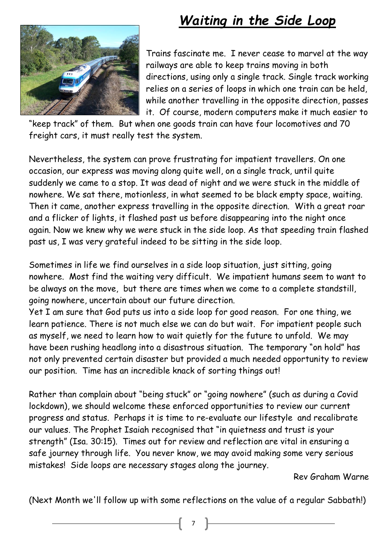## *Waiting in the Side Loop*



Trains fascinate me. I never cease to marvel at the way railways are able to keep trains moving in both directions, using only a single track. Single track working relies on a series of loops in which one train can be held, while another travelling in the opposite direction, passes it. Of course, modern computers make it much easier to

"keep track" of them. But when one goods train can have four locomotives and 70 freight cars, it must really test the system.

Nevertheless, the system can prove frustrating for impatient travellers. On one occasion, our express was moving along quite well, on a single track, until quite suddenly we came to a stop. It was dead of night and we were stuck in the middle of nowhere. We sat there, motionless, in what seemed to be black empty space, waiting. Then it came, another express travelling in the opposite direction. With a great roar and a flicker of lights, it flashed past us before disappearing into the night once again. Now we knew why we were stuck in the side loop. As that speeding train flashed past us, I was very grateful indeed to be sitting in the side loop.

Sometimes in life we find ourselves in a side loop situation, just sitting, going nowhere. Most find the waiting very difficult. We impatient humans seem to want to be always on the move, but there are times when we come to a complete standstill, going nowhere, uncertain about our future direction.

Yet I am sure that God puts us into a side loop for good reason. For one thing, we learn patience. There is not much else we can do but wait. For impatient people such as myself, we need to learn how to wait quietly for the future to unfold. We may have been rushing headlong into a disastrous situation. The temporary "on hold" has not only prevented certain disaster but provided a much needed opportunity to review our position. Time has an incredible knack of sorting things out!

Rather than complain about "being stuck" or "going nowhere" (such as during a Covid lockdown), we should welcome these enforced opportunities to review our current progress and status. Perhaps it is time to re-evaluate our lifestyle and recalibrate our values. The Prophet Isaiah recognised that "in quietness and trust is your strength" (Isa. 30:15). Times out for review and reflection are vital in ensuring a safe journey through life. You never know, we may avoid making some very serious mistakes! Side loops are necessary stages along the journey.

Rev Graham Warne

(Next Month we'll follow up with some reflections on the value of a regular Sabbath!)